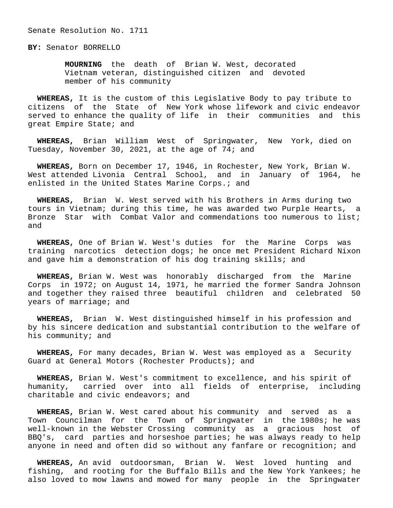Senate Resolution No. 1711

**BY:** Senator BORRELLO

 **MOURNING** the death of Brian W. West, decorated Vietnam veteran, distinguished citizen and devoted member of his community

 **WHEREAS,** It is the custom of this Legislative Body to pay tribute to citizens of the State of New York whose lifework and civic endeavor served to enhance the quality of life in their communities and this great Empire State; and

 **WHEREAS,** Brian William West of Springwater, New York, died on Tuesday, November 30, 2021, at the age of 74; and

 **WHEREAS,** Born on December 17, 1946, in Rochester, New York, Brian W. West attended Livonia Central School, and in January of 1964, he enlisted in the United States Marine Corps.; and

 **WHEREAS,** Brian W. West served with his Brothers in Arms during two tours in Vietnam; during this time, he was awarded two Purple Hearts, a Bronze Star with Combat Valor and commendations too numerous to list; and

 **WHEREAS,** One of Brian W. West's duties for the Marine Corps was training narcotics detection dogs; he once met President Richard Nixon and gave him a demonstration of his dog training skills; and

 **WHEREAS,** Brian W. West was honorably discharged from the Marine Corps in 1972; on August 14, 1971, he married the former Sandra Johnson and together they raised three beautiful children and celebrated 50 years of marriage; and

 **WHEREAS,** Brian W. West distinguished himself in his profession and by his sincere dedication and substantial contribution to the welfare of his community; and

 **WHEREAS,** For many decades, Brian W. West was employed as a Security Guard at General Motors (Rochester Products); and

 **WHEREAS,** Brian W. West's commitment to excellence, and his spirit of humanity, carried over into all fields of enterprise, including charitable and civic endeavors; and

 **WHEREAS,** Brian W. West cared about his community and served as a Town Councilman for the Town of Springwater in the 1980s; he was well-known in the Webster Crossing community as a gracious host of BBQ's, card parties and horseshoe parties; he was always ready to help anyone in need and often did so without any fanfare or recognition; and

 **WHEREAS,** An avid outdoorsman, Brian W. West loved hunting and fishing, and rooting for the Buffalo Bills and the New York Yankees; he also loved to mow lawns and mowed for many people in the Springwater